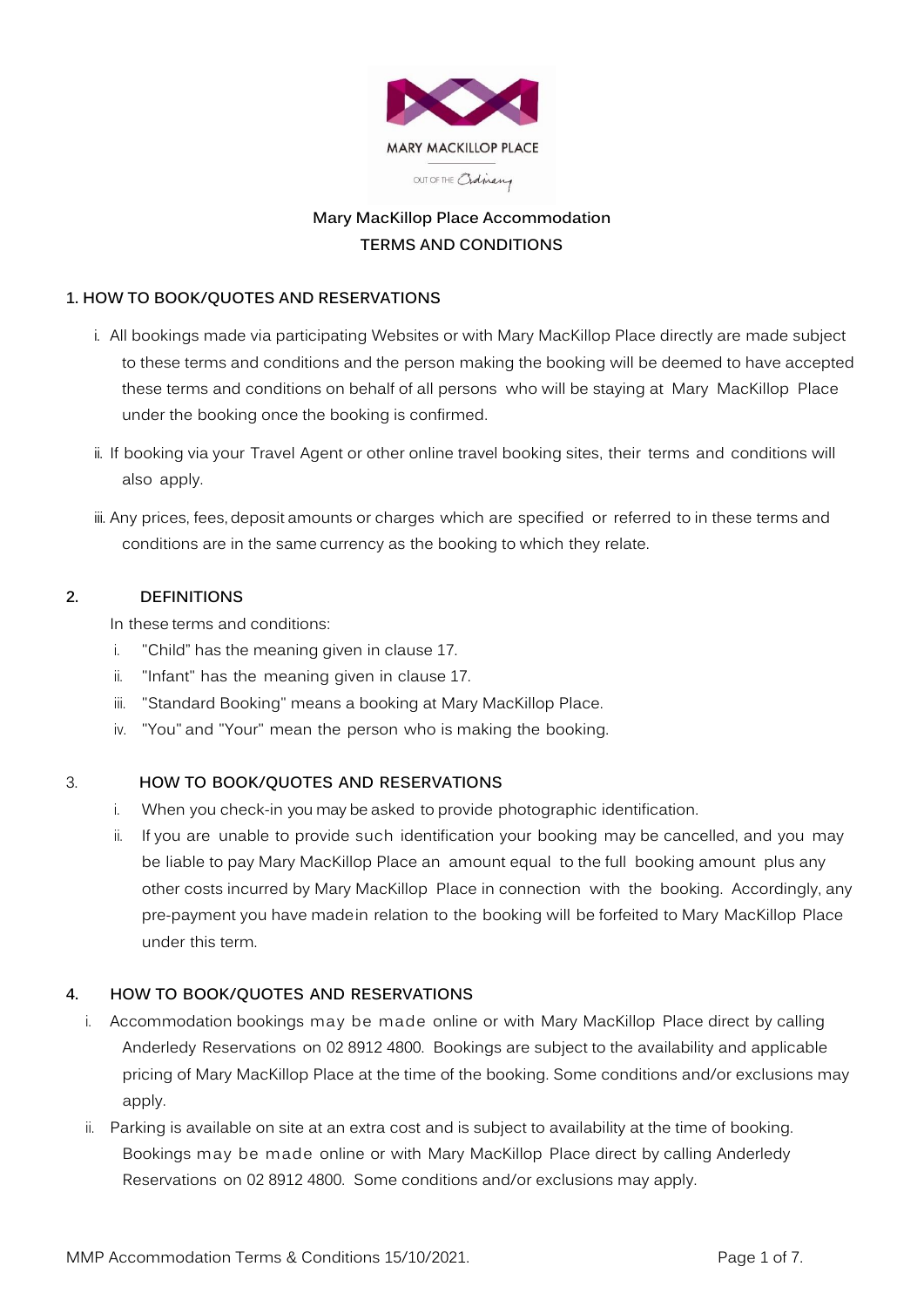

# **Mary MacKillop Place Accommodation TERMS AND CONDITIONS**

# **1. HOW TO BOOK/QUOTES AND RESERVATIONS**

- i. All bookings made via participating Websites or with Mary MacKillop Place directly are made subject to these terms and conditions and the person making the booking will be deemed to have accepted these terms and conditions on behalf of all persons who will be staying at Mary MacKillop Place under the booking once the booking is confirmed.
- ii. If booking via your Travel Agent or other online travel booking sites, their terms and conditions will also apply.
- iii. Any prices, fees, deposit amounts or charges which are specified or referred to in these terms and conditions are in the same currency as the booking to which they relate.

## **2. DEFINITIONS**

In these terms and conditions:

- i. "Child" has the meaning given in clause 17.
- ii. "Infant" has the meaning given in clause 17.
- iii. "Standard Booking" means a booking at Mary MacKillop Place.
- iv. "You" and "Your" mean the person who is making the booking.

## 3. **HOW TO BOOK/QUOTES AND RESERVATIONS**

- i. When you check-in you may be asked to provide photographic identification.
- ii. If you are unable to provide such identification your booking may be cancelled, and you may be liable to pay Mary MacKillop Place an amount equal to the full booking amount plus any other costs incurred by Mary MacKillop Place in connection with the booking. Accordingly, any pre-payment you have made in relation to the booking will be forfeited to Mary MacKillop Place under this term.

## **4. HOW TO BOOK/QUOTES AND RESERVATIONS**

- i. Accommodation bookings may be made online or with Mary MacKillop Place direct by calling Anderledy Reservations on 02 8912 4800. Bookings are subject to the availability and applicable pricing of Mary MacKillop Place at the time of the booking. Some conditions and/or exclusions may apply.
- ii. Parking is available on site at an extra cost and is subject to availability at the time of booking. Bookings may be made online or with Mary MacKillop Place direct by calling Anderledy Reservations on 02 8912 4800. Some conditions and/or exclusions may apply.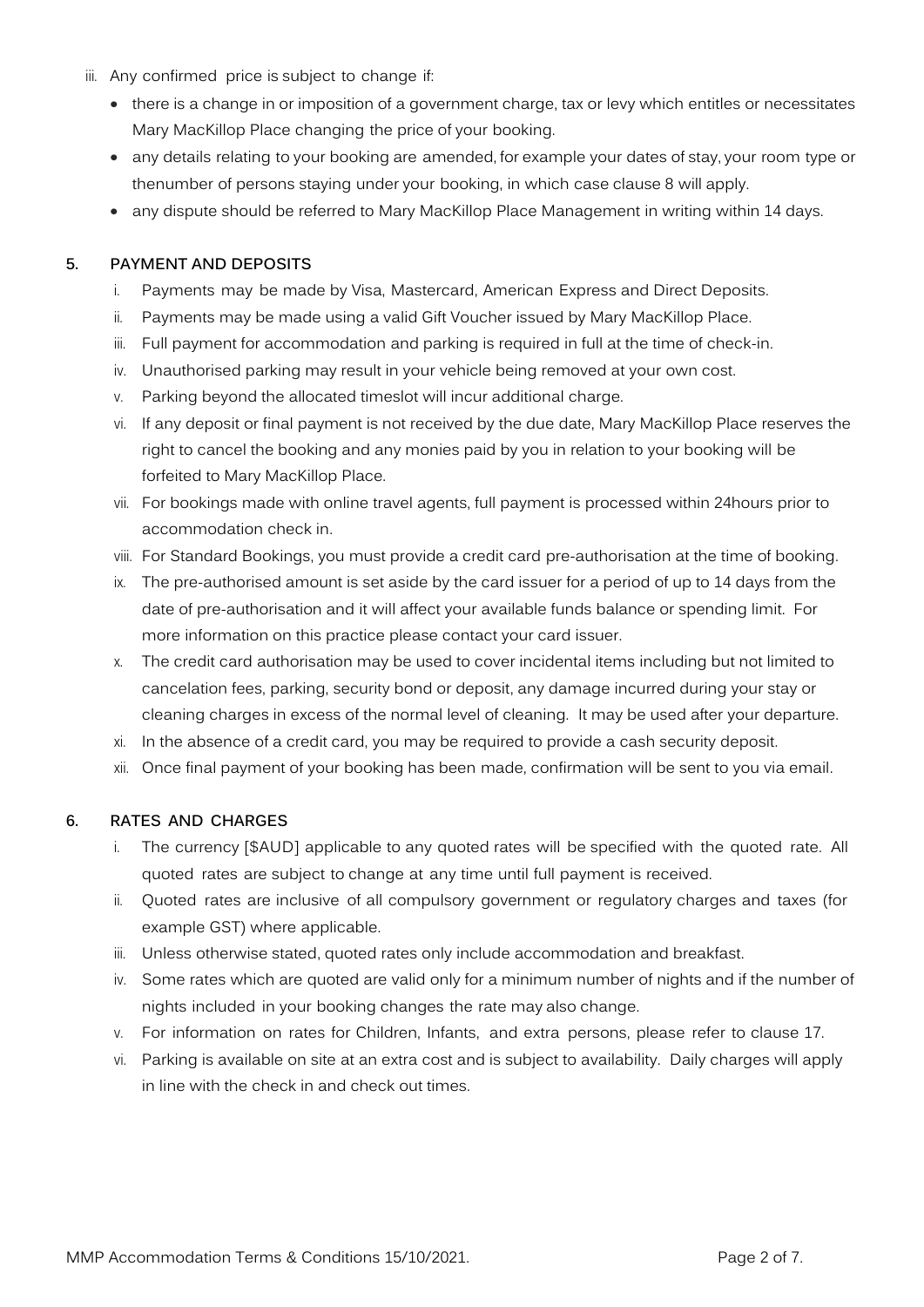- iii. Any confirmed price is subject to change if:
	- there is a change in or imposition of a government charge, tax or levy which entitles or necessitates Mary MacKillop Place changing the price of your booking.
	- any details relating to your booking are amended, for example your dates of stay, your room type or thenumber of persons staying under your booking, in which case clause 8 will apply.
	- any dispute should be referred to Mary MacKillop Place Management in writing within 14 days.

### **5. PAYMENT AND DEPOSITS**

- i. Payments may be made by Visa, Mastercard, American Express and Direct Deposits.
- ii. Payments may be made using a valid Gift Voucher issued by Mary MacKillop Place.
- iii. Full payment for accommodation and parking is required in full at the time of check-in.
- iv. Unauthorised parking may result in your vehicle being removed at your own cost.
- v. Parking beyond the allocated timeslot will incur additional charge.
- vi. If any deposit or final payment is not received by the due date, Mary MacKillop Place reserves the right to cancel the booking and any monies paid by you in relation to your booking will be forfeited to Mary MacKillop Place.
- vii. For bookings made with online travel agents, full payment is processed within 24hours prior to accommodation check in.
- viii. For Standard Bookings, you must provide a credit card pre-authorisation at the time of booking.
- ix. The pre-authorised amount is set aside by the card issuer for a period of up to 14 days from the date of pre-authorisation and it will affect your available funds balance or spending limit. For more information on this practice please contact your card issuer.
- x. The credit card authorisation may be used to cover incidental items including but not limited to cancelation fees, parking, security bond or deposit, any damage incurred during your stay or cleaning charges in excess of the normal level of cleaning. It may be used after your departure.
- xi. In the absence of a credit card, you may be required to provide a cash security deposit.
- xii. Once final payment of your booking has been made, confirmation will be sent to you via email.

#### **6. RATES AND CHARGES**

- i. The currency [\$AUD] applicable to any quoted rates will be specified with the quoted rate. All quoted rates are subject to change at any time until full payment is received.
- ii. Quoted rates are inclusive of all compulsory government or regulatory charges and taxes (for example GST) where applicable.
- iii. Unless otherwise stated, quoted rates only include accommodation and breakfast.
- iv. Some rates which are quoted are valid only for a minimum number of nights and if the number of nights included in your booking changes the rate may also change.
- v. For information on rates for Children, Infants, and extra persons, please refer to clause 17.
- vi. Parking is available on site at an extra cost and is subject to availability. Daily charges will apply in line with the check in and check out times.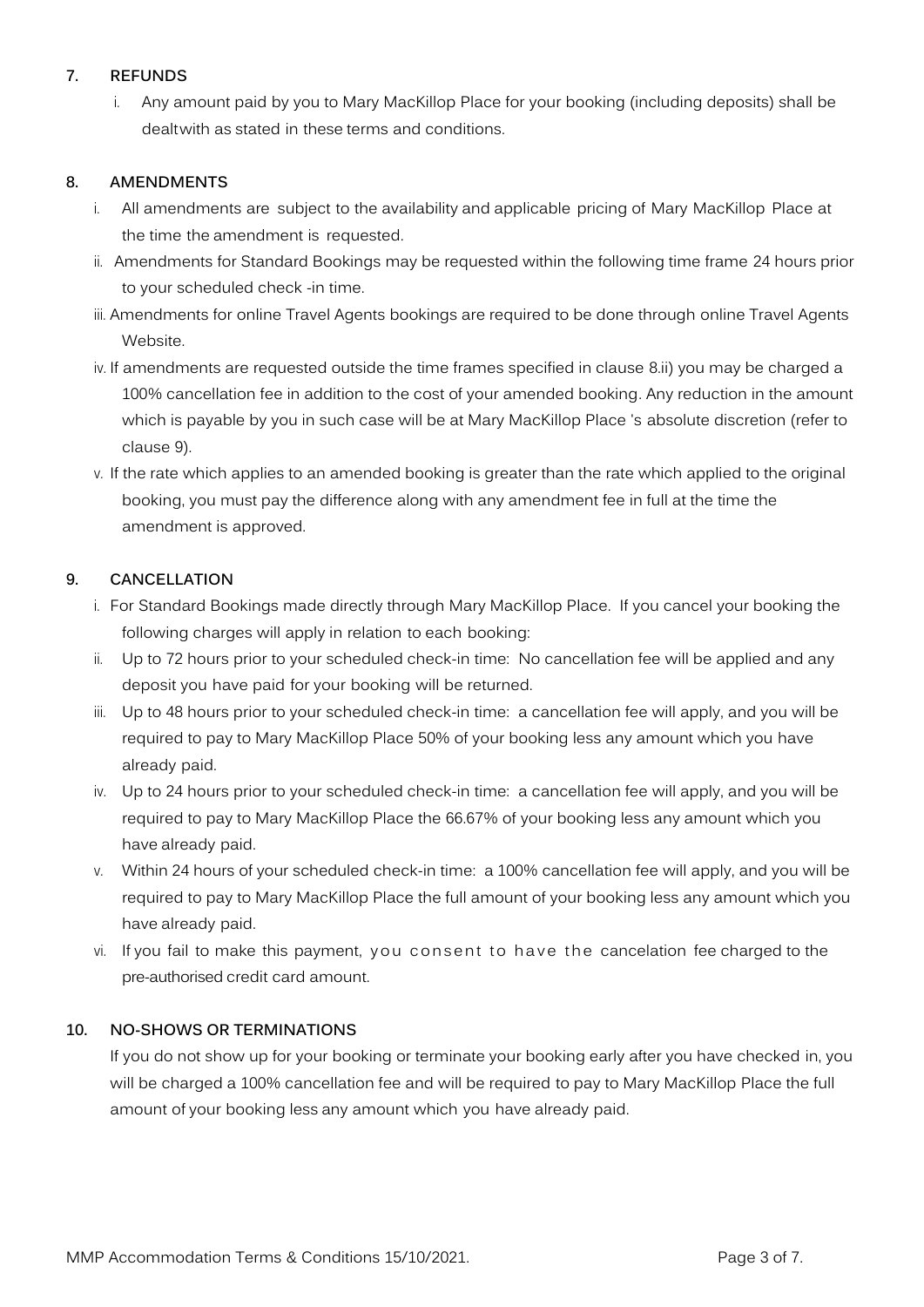# **7. REFUNDS**

i. Any amount paid by you to Mary MacKillop Place for your booking (including deposits) shall be dealt with as stated in these terms and conditions.

# **8. AMENDMENTS**

- i. All amendments are subject to the availability and applicable pricing of Mary MacKillop Place at the time the amendment is requested.
- ii. Amendments for Standard Bookings may be requested within the following time frame 24 hours prior to your scheduled check -in time.
- iii. Amendments for online Travel Agents bookings are required to be done through online Travel Agents Website.
- iv. If amendments are requested outside the time frames specified in clause 8.ii) you may be charged a 100% cancellation fee in addition to the cost of your amended booking. Any reduction in the amount which is payable by you in such case will be at Mary MacKillop Place 's absolute discretion (refer to clause 9).
- v. If the rate which applies to an amended booking is greater than the rate which applied to the original booking, you must pay the difference along with any amendment fee in full at the time the amendment is approved.

## **9. CANCELLATION**

- i. For Standard Bookings made directly through Mary MacKillop Place. If you cancel your booking the following charges will apply in relation to each booking:
- ii. Up to 72 hours prior to your scheduled check-in time: No cancellation fee will be applied and any deposit you have paid for your booking will be returned.
- iii. Up to 48 hours prior to your scheduled check-in time: a cancellation fee will apply, and you will be required to pay to Mary MacKillop Place 50% of your booking less any amount which you have already paid.
- iv. Up to 24 hours prior to your scheduled check-in time: a cancellation fee will apply, and you will be required to pay to Mary MacKillop Place the 66.67% of your booking less any amount which you have already paid.
- v. Within 24 hours of your scheduled check-in time: a 100% cancellation fee will apply, and you will be required to pay to Mary MacKillop Place the full amount of your booking less any amount which you have already paid.
- vi. If you fail to make this payment, you consent to have the cancelation fee charged to the pre-authorised credit card amount.

## **10. NO-SHOWS OR TERMINATIONS**

If you do not show up for your booking or terminate your booking early after you have checked in, you will be charged a 100% cancellation fee and will be required to pay to Mary MacKillop Place the full amount of your booking less any amount which you have already paid.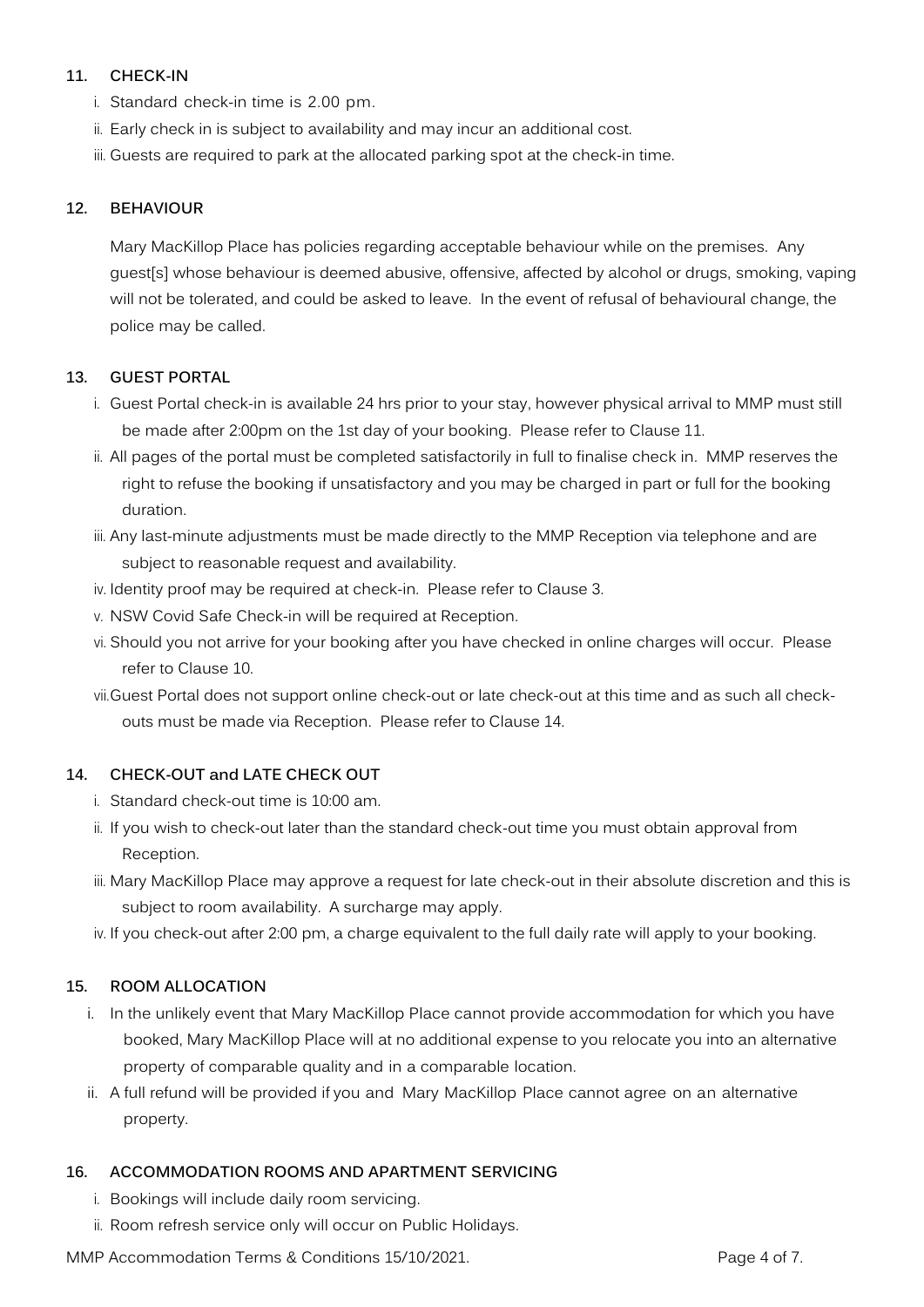# **11. CHECK-IN**

- i. Standard check-in time is 2.00 pm.
- ii. Early check in is subject to availability and may incur an additional cost.
- iii. Guests are required to park at the allocated parking spot at the check-in time.

## **12. BEHAVIOUR**

Mary MacKillop Place has policies regarding acceptable behaviour while on the premises. Any guest[s] whose behaviour is deemed abusive, offensive, affected by alcohol or drugs, smoking, vaping will not be tolerated, and could be asked to leave. In the event of refusal of behavioural change, the police may be called.

## **13. GUEST PORTAL**

- i. Guest Portal check-in is available 24 hrs prior to your stay, however physical arrival to MMP must still be made after 2:00pm on the 1st day of your booking. Please refer to Clause 11.
- ii. All pages of the portal must be completed satisfactorily in full to finalise check in. MMP reserves the right to refuse the booking if unsatisfactory and you may be charged in part or full for the booking duration.
- iii. Any last-minute adjustments must be made directly to the MMP Reception via telephone and are subject to reasonable request and availability.
- iv. Identity proof may be required at check-in. Please refer to Clause 3.
- v. NSW Covid Safe Check-in will be required at Reception.
- vi. Should you not arrive for your booking after you have checked in online charges will occur. Please refer to Clause 10.
- vii.Guest Portal does not support online check-out or late check-out at this time and as such all checkouts must be made via Reception. Please refer to Clause 14.

## **14. CHECK-OUT and LATE CHECK OUT**

- i. Standard check-out time is 10:00 am.
- ii. If you wish to check-out later than the standard check-out time you must obtain approval from Reception.
- iii. Mary MacKillop Place may approve a request for late check-out in their absolute discretion and this is subject to room availability. A surcharge may apply.
- iv. If you check-out after 2:00 pm, a charge equivalent to the full daily rate will apply to your booking.

## **15. ROOM ALLOCATION**

- i. In the unlikely event that Mary MacKillop Place cannot provide accommodation for which you have booked, Mary MacKillop Place will at no additional expense to you relocate you into an alternative property of comparable quality and in a comparable location.
- ii. A full refund will be provided if you and Mary MacKillop Place cannot agree on an alternative property.

## **16. ACCOMMODATION ROOMS AND APARTMENT SERVICING**

- i. Bookings will include daily room servicing.
- ii. Room refresh service only will occur on Public Holidays.

MMP Accommodation Terms & Conditions 15/10/2021. Page 4 of 7.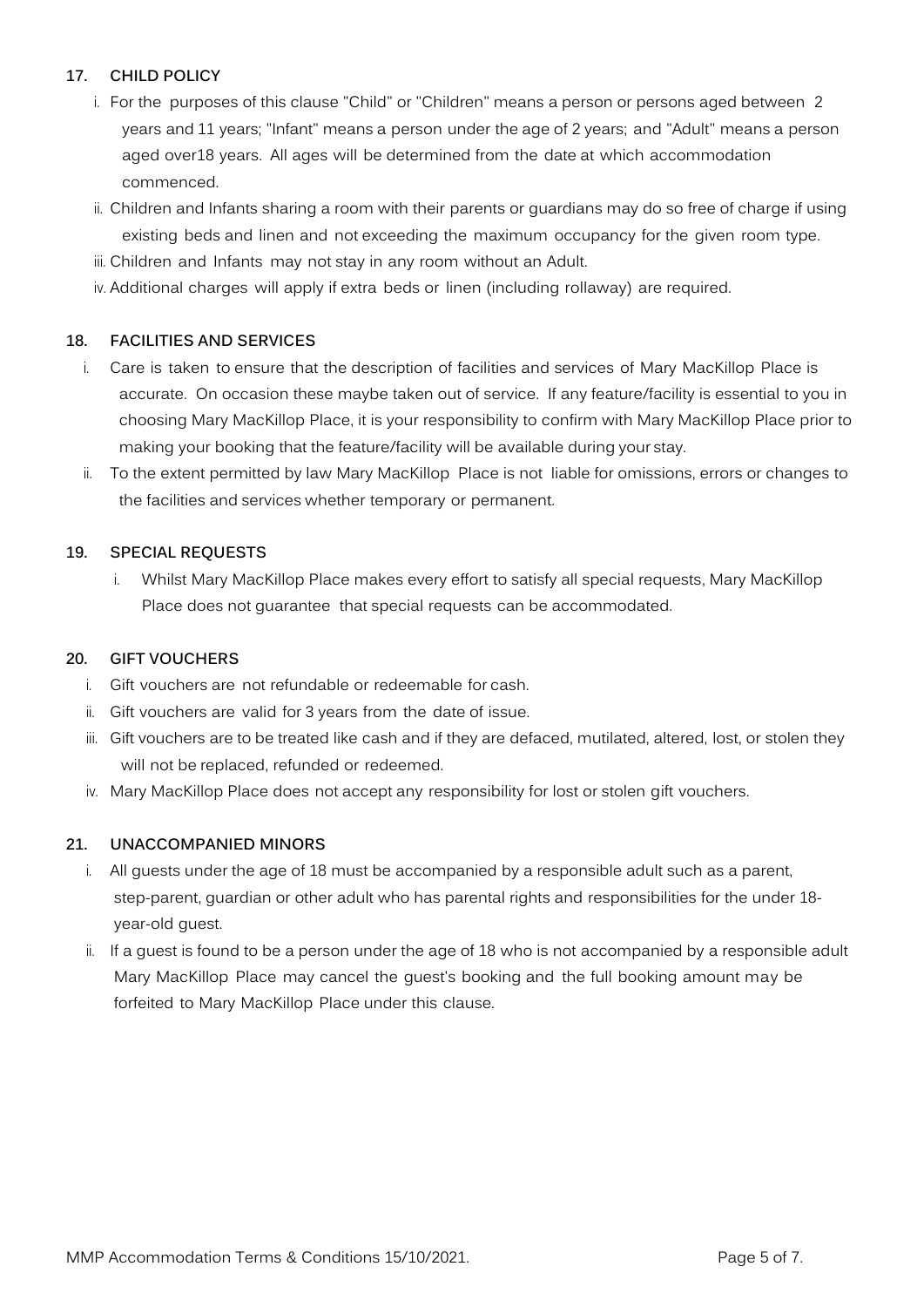# **17. CHILD POLICY**

- i. For the purposes of this clause "Child" or "Children" means a person or persons aged between 2 years and 11 years; "Infant" means a person under the age of 2 years; and "Adult" means a person aged over18 years. All ages will be determined from the date at which accommodation commenced.
- ii. Children and Infants sharing a room with their parents or guardians may do so free of charge if using existing beds and linen and not exceeding the maximum occupancy for the given room type.
- iii. Children and Infants may not stay in any room without an Adult.
- iv. Additional charges will apply if extra beds or linen (including rollaway) are required.

# **18. FACILITIES AND SERVICES**

- i. Care is taken to ensure that the description of facilities and services of Mary MacKillop Place is accurate. On occasion these maybe taken out of service. If any feature/facility is essential to you in choosing Mary MacKillop Place, it is your responsibility to confirm with Mary MacKillop Place prior to making your booking that the feature/facility will be available during your stay.
- ii. To the extent permitted by law Mary MacKillop Place is not liable for omissions, errors or changes to the facilities and services whether temporary or permanent.

## **19. SPECIAL REQUESTS**

i. Whilst Mary MacKillop Place makes every effort to satisfy all special requests, Mary MacKillop Place does not guarantee that special requests can be accommodated.

## **20. GIFT VOUCHERS**

- i. Gift vouchers are not refundable or redeemable for cash.
- ii. Gift vouchers are valid for 3 years from the date of issue.
- iii. Gift vouchers are to be treated like cash and if they are defaced, mutilated, altered, lost, or stolen they will not be replaced, refunded or redeemed.
- iv. Mary MacKillop Place does not accept any responsibility for lost or stolen gift vouchers.

## **21. UNACCOMPANIED MINORS**

- i. All guests under the age of 18 must be accompanied by a responsible adult such as a parent, step-parent, guardian or other adult who has parental rights and responsibilities for the under 18 year-old guest.
- ii. If a guest is found to be a person under the age of 18 who is not accompanied by a responsible adult Mary MacKillop Place may cancel the guest's booking and the full booking amount may be forfeited to Mary MacKillop Place under this clause.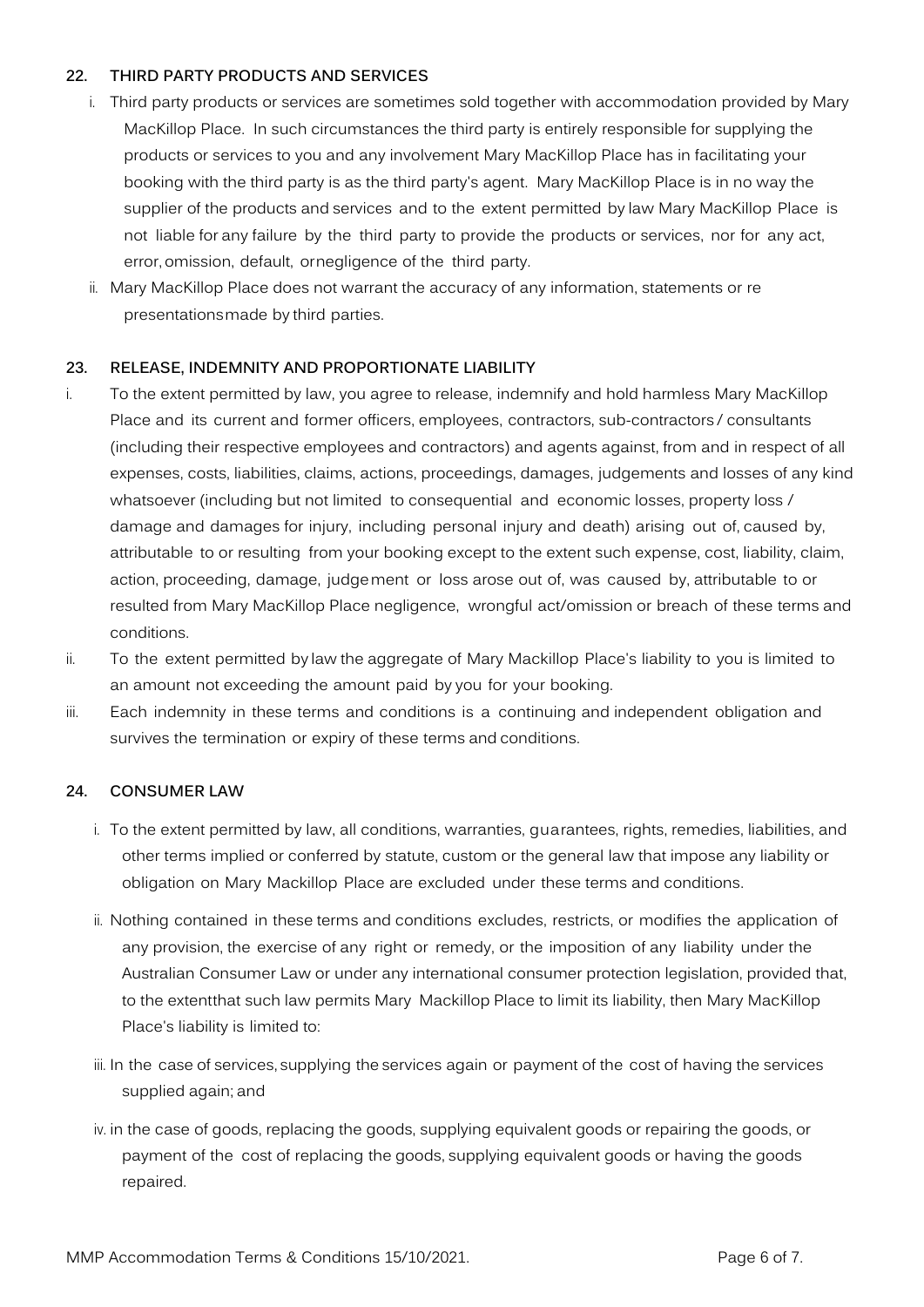## **22. THIRD PARTY PRODUCTS AND SERVICES**

- i. Third party products or services are sometimes sold together with accommodation provided by Mary MacKillop Place. In such circumstances the third party is entirely responsible for supplying the products or services to you and any involvement Mary MacKillop Place has in facilitating your booking with the third party is as the third party's agent. Mary MacKillop Place is in no way the supplier of the products and services and to the extent permitted by law Mary MacKillop Place is not liable for any failure by the third party to provide the products or services, nor for any act, error, omission, default, or negligence of the third party.
- ii. Mary MacKillop Place does not warrant the accuracy of any information, statements or re presentations made by third parties.

## **23. RELEASE, INDEMNITY AND PROPORTIONATE LIABILITY**

- i. To the extent permitted by law, you agree to release, indemnify and hold harmless Mary MacKillop Place and its current and former officers, employees, contractors, sub-contractors / consultants (including their respective employees and contractors) and agents against, from and in respect of all expenses, costs, liabilities, claims, actions, proceedings, damages, judgements and losses of any kind whatsoever (including but not limited to consequential and economic losses, property loss / damage and damages for injury, including personal injury and death) arising out of, caused by, attributable to or resulting from your booking except to the extent such expense, cost, liability, claim, action, proceeding, damage, judgement or loss arose out of, was caused by, attributable to or resulted from Mary MacKillop Place negligence, wrongful act/omission or breach of these terms and conditions.
- ii. To the extent permitted by law the aggregate of Mary Mackillop Place's liability to you is limited to an amount not exceeding the amount paid by you for your booking.
- iii. Each indemnity in these terms and conditions is a continuing and independent obligation and survives the termination or expiry of these terms and conditions.

## **24. CONSUMER LAW**

- i. To the extent permitted by law, all conditions, warranties, guarantees, rights, remedies, liabilities, and other terms implied or conferred by statute, custom or the general law that impose any liability or obligation on Mary Mackillop Place are excluded under these terms and conditions.
- ii. Nothing contained in these terms and conditions excludes, restricts, or modifies the application of any provision, the exercise of any right or remedy, or the imposition of any liability under the Australian Consumer Law or under any international consumer protection legislation, provided that, to the extentthat such law permits Mary Mackillop Place to limit its liability, then Mary MacKillop Place's liability is limited to:
- iii. In the case of services, supplying the services again or payment of the cost of having the services supplied again; and
- iv. in the case of goods, replacing the goods, supplying equivalent goods or repairing the goods, or payment of the cost of replacing the goods, supplying equivalent goods or having the goods repaired.